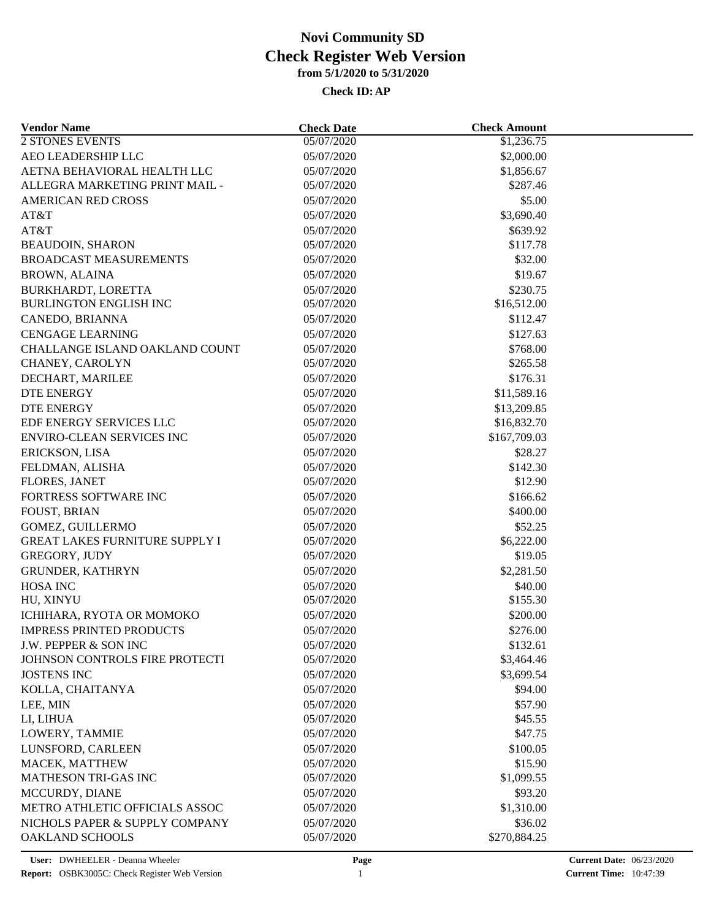| <b>Vendor Name</b>                                | <b>Check Date</b>        | <b>Check Amount</b>     |  |
|---------------------------------------------------|--------------------------|-------------------------|--|
| <b>2 STONES EVENTS</b>                            | 05/07/2020               | \$1,236.75              |  |
| AEO LEADERSHIP LLC                                | 05/07/2020               | \$2,000.00              |  |
| AETNA BEHAVIORAL HEALTH LLC                       | 05/07/2020               | \$1,856.67              |  |
| ALLEGRA MARKETING PRINT MAIL -                    | 05/07/2020               | \$287.46                |  |
| <b>AMERICAN RED CROSS</b>                         | 05/07/2020               | \$5.00                  |  |
| AT&T                                              | 05/07/2020               | \$3,690.40              |  |
| AT&T                                              | 05/07/2020               | \$639.92                |  |
| <b>BEAUDOIN, SHARON</b>                           | 05/07/2020               | \$117.78                |  |
| <b>BROADCAST MEASUREMENTS</b>                     | 05/07/2020               | \$32.00                 |  |
| <b>BROWN, ALAINA</b>                              | 05/07/2020               | \$19.67                 |  |
| BURKHARDT, LORETTA                                | 05/07/2020               | \$230.75                |  |
| <b>BURLINGTON ENGLISH INC</b>                     | 05/07/2020               | \$16,512.00             |  |
| CANEDO, BRIANNA                                   | 05/07/2020               | \$112.47                |  |
| <b>CENGAGE LEARNING</b>                           | 05/07/2020               | \$127.63                |  |
| CHALLANGE ISLAND OAKLAND COUNT                    | 05/07/2020               | \$768.00                |  |
| CHANEY, CAROLYN                                   | 05/07/2020               | \$265.58                |  |
| DECHART, MARILEE                                  | 05/07/2020               | \$176.31                |  |
| <b>DTE ENERGY</b>                                 | 05/07/2020               | \$11,589.16             |  |
| <b>DTE ENERGY</b>                                 | 05/07/2020               | \$13,209.85             |  |
| EDF ENERGY SERVICES LLC                           | 05/07/2020               | \$16,832.70             |  |
| ENVIRO-CLEAN SERVICES INC                         | 05/07/2020               | \$167,709.03            |  |
| ERICKSON, LISA                                    | 05/07/2020               | \$28.27                 |  |
| FELDMAN, ALISHA                                   | 05/07/2020               | \$142.30                |  |
| <b>FLORES, JANET</b>                              | 05/07/2020               | \$12.90                 |  |
| FORTRESS SOFTWARE INC                             | 05/07/2020               | \$166.62                |  |
| <b>FOUST, BRIAN</b>                               | 05/07/2020               | \$400.00                |  |
| GOMEZ, GUILLERMO                                  | 05/07/2020               | \$52.25                 |  |
| <b>GREAT LAKES FURNITURE SUPPLY I</b>             | 05/07/2020               | \$6,222.00              |  |
| <b>GREGORY, JUDY</b>                              | 05/07/2020               | \$19.05                 |  |
| <b>GRUNDER, KATHRYN</b>                           | 05/07/2020               | \$2,281.50              |  |
| HOSA INC                                          | 05/07/2020               | \$40.00                 |  |
| HU, XINYU                                         | 05/07/2020               | \$155.30                |  |
| ICHIHARA, RYOTA OR MOMOKO                         | 05/07/2020               | \$200.00                |  |
| <b>IMPRESS PRINTED PRODUCTS</b>                   | 05/07/2020               | \$276.00                |  |
| J.W. PEPPER & SON INC                             | 05/07/2020               | \$132.61                |  |
| JOHNSON CONTROLS FIRE PROTECTI                    | 05/07/2020               | \$3,464.46              |  |
| <b>JOSTENS INC</b>                                | 05/07/2020               | \$3,699.54              |  |
| KOLLA, CHAITANYA                                  | 05/07/2020               | \$94.00                 |  |
| LEE, MIN                                          | 05/07/2020               | \$57.90                 |  |
| LI, LIHUA                                         | 05/07/2020               | \$45.55                 |  |
| LOWERY, TAMMIE                                    | 05/07/2020               | \$47.75                 |  |
| LUNSFORD, CARLEEN                                 | 05/07/2020               | \$100.05                |  |
| MACEK, MATTHEW                                    | 05/07/2020               | \$15.90                 |  |
| MATHESON TRI-GAS INC                              | 05/07/2020               | \$1,099.55              |  |
| MCCURDY, DIANE                                    | 05/07/2020               | \$93.20                 |  |
| METRO ATHLETIC OFFICIALS ASSOC                    |                          |                         |  |
|                                                   | 05/07/2020               | \$1,310.00              |  |
| NICHOLS PAPER & SUPPLY COMPANY<br>OAKLAND SCHOOLS | 05/07/2020<br>05/07/2020 | \$36.02<br>\$270,884.25 |  |
|                                                   |                          |                         |  |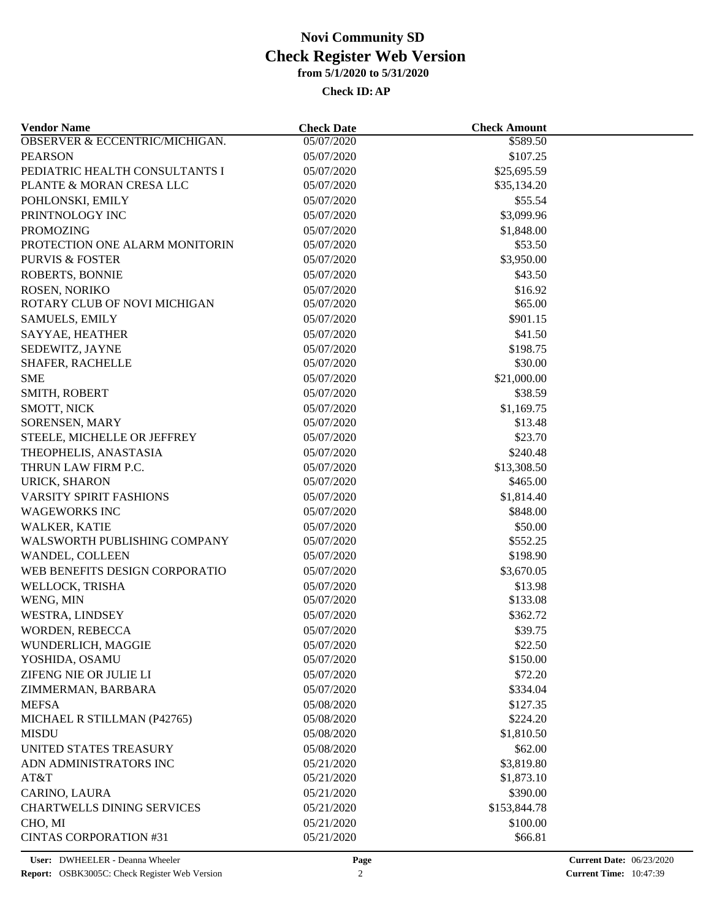| <b>Vendor Name</b>                | <b>Check Date</b> | <b>Check Amount</b> |  |
|-----------------------------------|-------------------|---------------------|--|
| OBSERVER & ECCENTRIC/MICHIGAN.    | 05/07/2020        | \$589.50            |  |
| <b>PEARSON</b>                    | 05/07/2020        | \$107.25            |  |
| PEDIATRIC HEALTH CONSULTANTS I    | 05/07/2020        | \$25,695.59         |  |
| PLANTE & MORAN CRESA LLC          | 05/07/2020        | \$35,134.20         |  |
| POHLONSKI, EMILY                  | 05/07/2020        | \$55.54             |  |
| PRINTNOLOGY INC                   | 05/07/2020        | \$3,099.96          |  |
| <b>PROMOZING</b>                  | 05/07/2020        | \$1,848.00          |  |
| PROTECTION ONE ALARM MONITORIN    | 05/07/2020        | \$53.50             |  |
| <b>PURVIS &amp; FOSTER</b>        | 05/07/2020        | \$3,950.00          |  |
| ROBERTS, BONNIE                   | 05/07/2020        | \$43.50             |  |
| ROSEN, NORIKO                     | 05/07/2020        | \$16.92             |  |
| ROTARY CLUB OF NOVI MICHIGAN      | 05/07/2020        | \$65.00             |  |
| <b>SAMUELS, EMILY</b>             | 05/07/2020        | \$901.15            |  |
| SAYYAE, HEATHER                   | 05/07/2020        | \$41.50             |  |
| SEDEWITZ, JAYNE                   | 05/07/2020        | \$198.75            |  |
| SHAFER, RACHELLE                  | 05/07/2020        | \$30.00             |  |
| <b>SME</b>                        | 05/07/2020        | \$21,000.00         |  |
| SMITH, ROBERT                     | 05/07/2020        | \$38.59             |  |
| SMOTT, NICK                       | 05/07/2020        | \$1,169.75          |  |
| SORENSEN, MARY                    | 05/07/2020        | \$13.48             |  |
| STEELE, MICHELLE OR JEFFREY       | 05/07/2020        | \$23.70             |  |
| THEOPHELIS, ANASTASIA             | 05/07/2020        | \$240.48            |  |
| THRUN LAW FIRM P.C.               | 05/07/2020        | \$13,308.50         |  |
| URICK, SHARON                     | 05/07/2020        | \$465.00            |  |
| <b>VARSITY SPIRIT FASHIONS</b>    | 05/07/2020        | \$1,814.40          |  |
| <b>WAGEWORKS INC</b>              | 05/07/2020        | \$848.00            |  |
| WALKER, KATIE                     | 05/07/2020        | \$50.00             |  |
| WALSWORTH PUBLISHING COMPANY      | 05/07/2020        | \$552.25            |  |
| WANDEL, COLLEEN                   | 05/07/2020        | \$198.90            |  |
| WEB BENEFITS DESIGN CORPORATIO    | 05/07/2020        | \$3,670.05          |  |
| WELLOCK, TRISHA                   | 05/07/2020        | \$13.98             |  |
| WENG, MIN                         | 05/07/2020        | \$133.08            |  |
| WESTRA, LINDSEY                   | 05/07/2020        | \$362.72            |  |
| WORDEN, REBECCA                   | 05/07/2020        | \$39.75             |  |
| WUNDERLICH, MAGGIE                | 05/07/2020        | \$22.50             |  |
| YOSHIDA, OSAMU                    | 05/07/2020        | \$150.00            |  |
| ZIFENG NIE OR JULIE LI            | 05/07/2020        | \$72.20             |  |
|                                   |                   |                     |  |
| ZIMMERMAN, BARBARA                | 05/07/2020        | \$334.04            |  |
| <b>MEFSA</b>                      | 05/08/2020        | \$127.35            |  |
| MICHAEL R STILLMAN (P42765)       | 05/08/2020        | \$224.20            |  |
| <b>MISDU</b>                      | 05/08/2020        | \$1,810.50          |  |
| UNITED STATES TREASURY            | 05/08/2020        | \$62.00             |  |
| ADN ADMINISTRATORS INC            | 05/21/2020        | \$3,819.80          |  |
| AT&T                              | 05/21/2020        | \$1,873.10          |  |
| CARINO, LAURA                     | 05/21/2020        | \$390.00            |  |
| <b>CHARTWELLS DINING SERVICES</b> | 05/21/2020        | \$153,844.78        |  |
| CHO, MI                           | 05/21/2020        | \$100.00            |  |
| <b>CINTAS CORPORATION #31</b>     | 05/21/2020        | \$66.81             |  |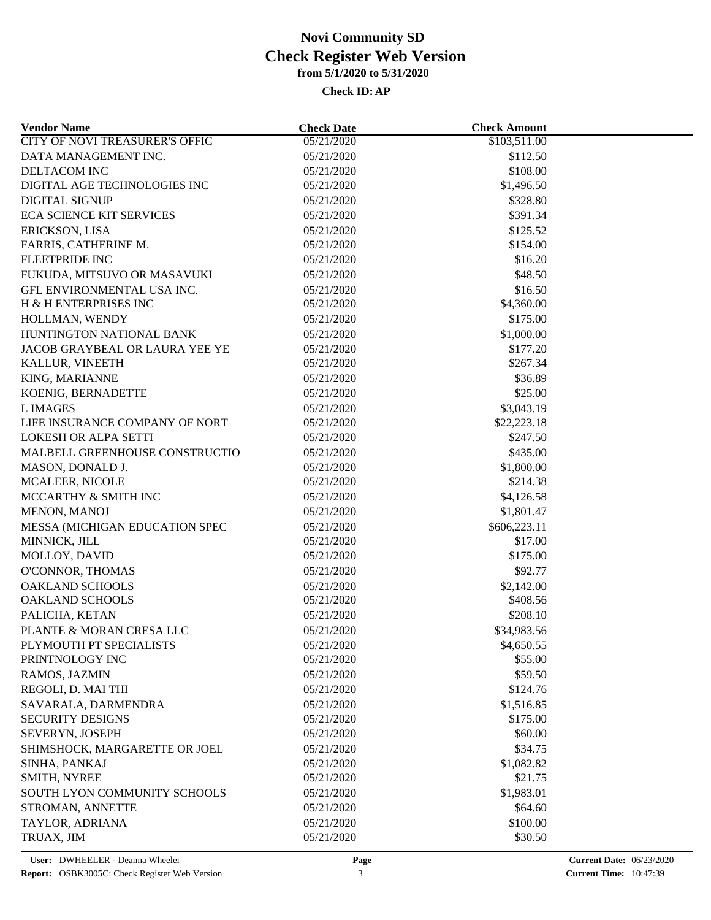| <b>Vendor Name</b>                    | <b>Check Date</b> | <b>Check Amount</b>     |  |
|---------------------------------------|-------------------|-------------------------|--|
| <b>CITY OF NOVI TREASURER'S OFFIC</b> | 05/21/2020        | \$103,511.00            |  |
| DATA MANAGEMENT INC.                  | 05/21/2020        | \$112.50                |  |
| DELTACOM INC                          | 05/21/2020        | \$108.00                |  |
| DIGITAL AGE TECHNOLOGIES INC          | 05/21/2020        | \$1,496.50              |  |
| <b>DIGITAL SIGNUP</b>                 | 05/21/2020        | \$328.80                |  |
| <b>ECA SCIENCE KIT SERVICES</b>       | 05/21/2020        | \$391.34                |  |
| ERICKSON, LISA                        | 05/21/2020        | \$125.52                |  |
| FARRIS, CATHERINE M.                  | 05/21/2020        | \$154.00                |  |
| <b>FLEETPRIDE INC</b>                 | 05/21/2020        | \$16.20                 |  |
| FUKUDA, MITSUVO OR MASAVUKI           | 05/21/2020        | \$48.50                 |  |
| GFL ENVIRONMENTAL USA INC.            | 05/21/2020        | \$16.50                 |  |
| H & H ENTERPRISES INC                 | 05/21/2020        | \$4,360.00              |  |
| HOLLMAN, WENDY                        | 05/21/2020        | \$175.00                |  |
| HUNTINGTON NATIONAL BANK              | 05/21/2020        | \$1,000.00              |  |
| JACOB GRAYBEAL OR LAURA YEE YE        | 05/21/2020        | \$177.20                |  |
| KALLUR, VINEETH                       | 05/21/2020        | \$267.34                |  |
| KING, MARIANNE                        | 05/21/2020        | \$36.89                 |  |
| KOENIG, BERNADETTE                    | 05/21/2020        | \$25.00                 |  |
| <b>LIMAGES</b>                        | 05/21/2020        | \$3,043.19              |  |
| LIFE INSURANCE COMPANY OF NORT        | 05/21/2020        | \$22,223.18             |  |
| LOKESH OR ALPA SETTI                  | 05/21/2020        | \$247.50                |  |
| MALBELL GREENHOUSE CONSTRUCTIO        | 05/21/2020        | \$435.00                |  |
| MASON, DONALD J.                      | 05/21/2020        | \$1,800.00              |  |
| MCALEER, NICOLE                       | 05/21/2020        | \$214.38                |  |
| MCCARTHY & SMITH INC                  | 05/21/2020        | \$4,126.58              |  |
| MENON, MANOJ                          | 05/21/2020        | \$1,801.47              |  |
|                                       |                   |                         |  |
| MESSA (MICHIGAN EDUCATION SPEC        | 05/21/2020        | \$606,223.11<br>\$17.00 |  |
| MINNICK, JILL                         | 05/21/2020        |                         |  |
| MOLLOY, DAVID                         | 05/21/2020        | \$175.00                |  |
| O'CONNOR, THOMAS                      | 05/21/2020        | \$92.77                 |  |
| <b>OAKLAND SCHOOLS</b>                | 05/21/2020        | \$2,142.00              |  |
| <b>OAKLAND SCHOOLS</b>                | 05/21/2020        | \$408.56                |  |
| PALICHA, KETAN                        | 05/21/2020        | \$208.10                |  |
| PLANTE & MORAN CRESA LLC              | 05/21/2020        | \$34,983.56             |  |
| PLYMOUTH PT SPECIALISTS               | 05/21/2020        | \$4,650.55              |  |
| PRINTNOLOGY INC                       | 05/21/2020        | \$55.00                 |  |
| RAMOS, JAZMIN                         | 05/21/2020        | \$59.50                 |  |
| REGOLI, D. MAI THI                    | 05/21/2020        | \$124.76                |  |
| SAVARALA, DARMENDRA                   | 05/21/2020        | \$1,516.85              |  |
| <b>SECURITY DESIGNS</b>               | 05/21/2020        | \$175.00                |  |
| SEVERYN, JOSEPH                       | 05/21/2020        | \$60.00                 |  |
| SHIMSHOCK, MARGARETTE OR JOEL         | 05/21/2020        | \$34.75                 |  |
| SINHA, PANKAJ                         | 05/21/2020        | \$1,082.82              |  |
| SMITH, NYREE                          | 05/21/2020        | \$21.75                 |  |
| SOUTH LYON COMMUNITY SCHOOLS          | 05/21/2020        | \$1,983.01              |  |
| STROMAN, ANNETTE                      | 05/21/2020        | \$64.60                 |  |
| TAYLOR, ADRIANA                       | 05/21/2020        | \$100.00                |  |
| TRUAX, JIM                            | 05/21/2020        | \$30.50                 |  |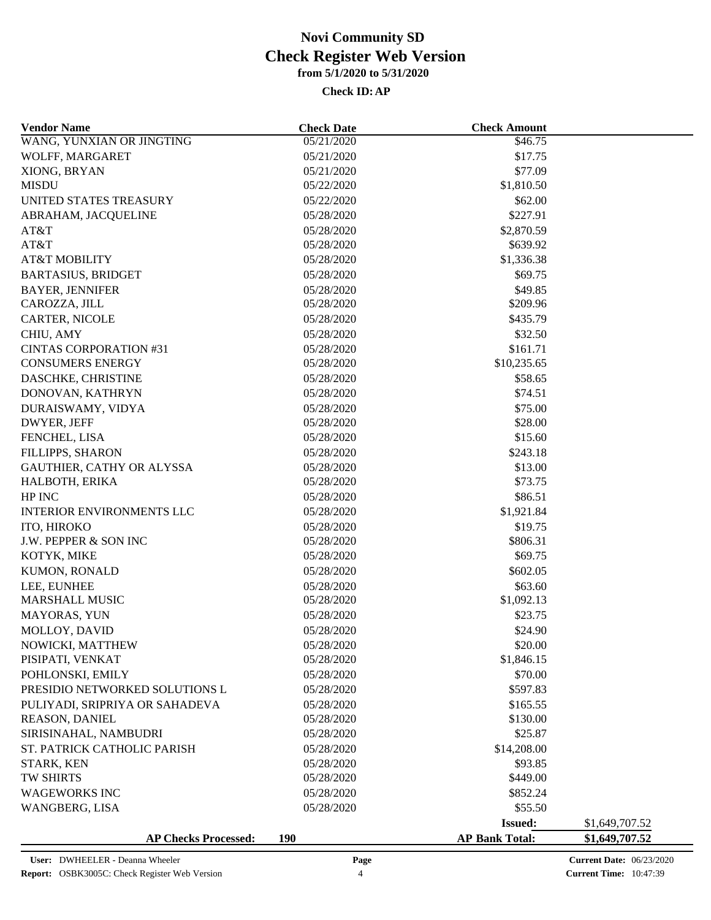| <b>Vendor Name</b>               | <b>Check Date</b> | <b>Check Amount</b>   |                |
|----------------------------------|-------------------|-----------------------|----------------|
| WANG, YUNXIAN OR JINGTING        | 05/21/2020        | \$46.75               |                |
| WOLFF, MARGARET                  | 05/21/2020        | \$17.75               |                |
| XIONG, BRYAN                     | 05/21/2020        | \$77.09               |                |
| <b>MISDU</b>                     | 05/22/2020        | \$1,810.50            |                |
| UNITED STATES TREASURY           | 05/22/2020        | \$62.00               |                |
| ABRAHAM, JACQUELINE              | 05/28/2020        | \$227.91              |                |
| AT&T                             | 05/28/2020        | \$2,870.59            |                |
| AT&T                             | 05/28/2020        | \$639.92              |                |
| <b>AT&amp;T MOBILITY</b>         | 05/28/2020        | \$1,336.38            |                |
| <b>BARTASIUS, BRIDGET</b>        | 05/28/2020        | \$69.75               |                |
| <b>BAYER, JENNIFER</b>           | 05/28/2020        | \$49.85               |                |
| CAROZZA, JILL                    | 05/28/2020        | \$209.96              |                |
|                                  |                   |                       |                |
| CARTER, NICOLE                   | 05/28/2020        | \$435.79              |                |
| CHIU, AMY                        | 05/28/2020        | \$32.50               |                |
| <b>CINTAS CORPORATION #31</b>    | 05/28/2020        | \$161.71              |                |
| <b>CONSUMERS ENERGY</b>          | 05/28/2020        | \$10,235.65           |                |
| DASCHKE, CHRISTINE               | 05/28/2020        | \$58.65               |                |
| DONOVAN, KATHRYN                 | 05/28/2020        | \$74.51               |                |
| DURAISWAMY, VIDYA                | 05/28/2020        | \$75.00               |                |
| DWYER, JEFF                      | 05/28/2020        | \$28.00               |                |
| FENCHEL, LISA                    | 05/28/2020        | \$15.60               |                |
| FILLIPPS, SHARON                 | 05/28/2020        | \$243.18              |                |
| GAUTHIER, CATHY OR ALYSSA        | 05/28/2020        | \$13.00               |                |
| HALBOTH, ERIKA                   | 05/28/2020        | \$73.75               |                |
| HP INC                           | 05/28/2020        | \$86.51               |                |
| <b>INTERIOR ENVIRONMENTS LLC</b> | 05/28/2020        | \$1,921.84            |                |
| ITO, HIROKO                      | 05/28/2020        | \$19.75               |                |
| <b>J.W. PEPPER &amp; SON INC</b> | 05/28/2020        | \$806.31              |                |
| KOTYK, MIKE                      | 05/28/2020        | \$69.75               |                |
| KUMON, RONALD                    | 05/28/2020        | \$602.05              |                |
| LEE, EUNHEE                      | 05/28/2020        | \$63.60               |                |
| <b>MARSHALL MUSIC</b>            | 05/28/2020        | \$1,092.13            |                |
| MAYORAS, YUN                     | 05/28/2020        | \$23.75               |                |
| MOLLOY, DAVID                    | 05/28/2020        | \$24.90               |                |
| NOWICKI, MATTHEW                 | 05/28/2020        | \$20.00               |                |
| PISIPATI, VENKAT                 | 05/28/2020        | \$1,846.15            |                |
| POHLONSKI, EMILY                 | 05/28/2020        | \$70.00               |                |
| PRESIDIO NETWORKED SOLUTIONS L   | 05/28/2020        | \$597.83              |                |
| PULIYADI, SRIPRIYA OR SAHADEVA   | 05/28/2020        | \$165.55              |                |
| REASON, DANIEL                   | 05/28/2020        | \$130.00              |                |
| SIRISINAHAL, NAMBUDRI            | 05/28/2020        | \$25.87               |                |
| ST. PATRICK CATHOLIC PARISH      | 05/28/2020        | \$14,208.00           |                |
| STARK, KEN                       | 05/28/2020        | \$93.85               |                |
| TW SHIRTS                        | 05/28/2020        | \$449.00              |                |
| <b>WAGEWORKS INC</b>             | 05/28/2020        | \$852.24              |                |
|                                  |                   |                       |                |
| WANGBERG, LISA                   | 05/28/2020        | \$55.50               |                |
|                                  |                   | <b>Issued:</b>        | \$1,649,707.52 |
| <b>AP Checks Processed:</b>      | <b>190</b>        | <b>AP Bank Total:</b> | \$1,649,707.52 |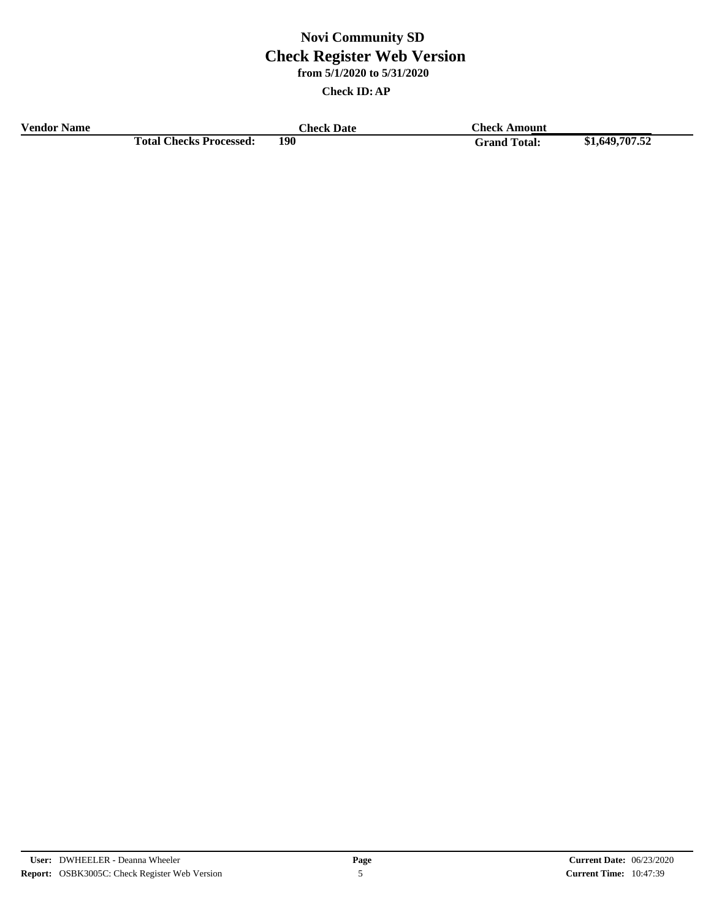**Check ID:AP**

**Vendor Name Check Date Check Date Check Amount Check Date Total Checks Processed: 190 Grand Total: \$1,649,707.52**